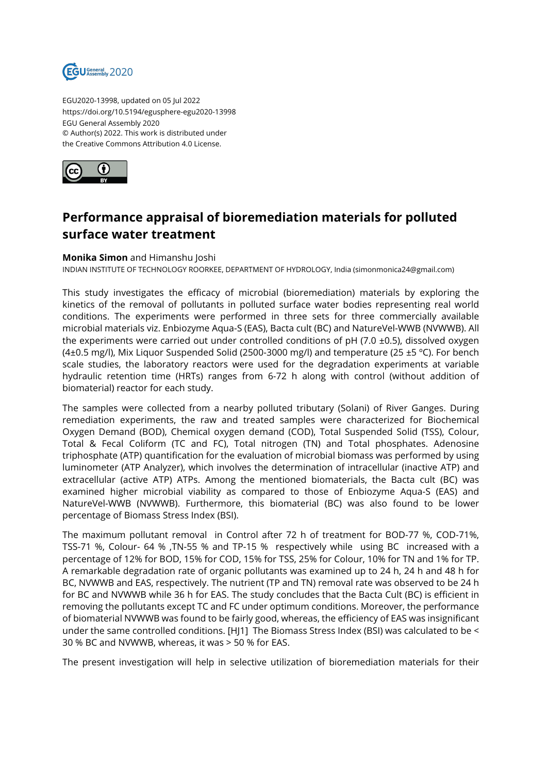

EGU2020-13998, updated on 05 Jul 2022 https://doi.org/10.5194/egusphere-egu2020-13998 EGU General Assembly 2020 © Author(s) 2022. This work is distributed under the Creative Commons Attribution 4.0 License.



## **Performance appraisal of bioremediation materials for polluted surface water treatment**

## **Monika Simon** and Himanshu Joshi

INDIAN INSTITUTE OF TECHNOLOGY ROORKEE, DEPARTMENT OF HYDROLOGY, India (simonmonica24@gmail.com)

This study investigates the efficacy of microbial (bioremediation) materials by exploring the kinetics of the removal of pollutants in polluted surface water bodies representing real world conditions. The experiments were performed in three sets for three commercially available microbial materials viz. Enbiozyme Aqua-S (EAS), Bacta cult (BC) and NatureVel-WWB (NVWWB). All the experiments were carried out under controlled conditions of  $pH$  (7.0  $\pm$ 0.5), dissolved oxygen (4 $\pm$ 0.5 mg/l), Mix Liquor Suspended Solid (2500-3000 mg/l) and temperature (25  $\pm$ 5 °C). For bench scale studies, the laboratory reactors were used for the degradation experiments at variable hydraulic retention time (HRTs) ranges from 6-72 h along with control (without addition of biomaterial) reactor for each study.

The samples were collected from a nearby polluted tributary (Solani) of River Ganges. During remediation experiments, the raw and treated samples were characterized for Biochemical Oxygen Demand (BOD), Chemical oxygen demand (COD), Total Suspended Solid (TSS), Colour, Total & Fecal Coliform (TC and FC), Total nitrogen (TN) and Total phosphates. Adenosine triphosphate (ATP) quantification for the evaluation of microbial biomass was performed by using luminometer (ATP Analyzer), which involves the determination of intracellular (inactive ATP) and extracellular (active ATP) ATPs. Among the mentioned biomaterials, the Bacta cult (BC) was examined higher microbial viability as compared to those of Enbiozyme Aqua-S (EAS) and NatureVel-WWB (NVWWB). Furthermore, this biomaterial (BC) was also found to be lower percentage of Biomass Stress Index (BSI).

The maximum pollutant removal in Control after 72 h of treatment for BOD-77 %, COD-71%, TSS-71 %, Colour- 64 % ,TN-55 % and TP-15 % respectively while using BC increased with a percentage of 12% for BOD, 15% for COD, 15% for TSS, 25% for Colour, 10% for TN and 1% for TP. A remarkable degradation rate of organic pollutants was examined up to 24 h, 24 h and 48 h for BC, NVWWB and EAS, respectively. The nutrient (TP and TN) removal rate was observed to be 24 h for BC and NVWWB while 36 h for EAS. The study concludes that the Bacta Cult (BC) is efficient in removing the pollutants except TC and FC under optimum conditions. Moreover, the performance of biomaterial NVWWB was found to be fairly good, whereas, the efficiency of EAS was insignificant under the same controlled conditions. [HJ1] The Biomass Stress Index (BSI) was calculated to be < 30 % BC and NVWWB, whereas, it was > 50 % for EAS.

The present investigation will help in selective utilization of bioremediation materials for their